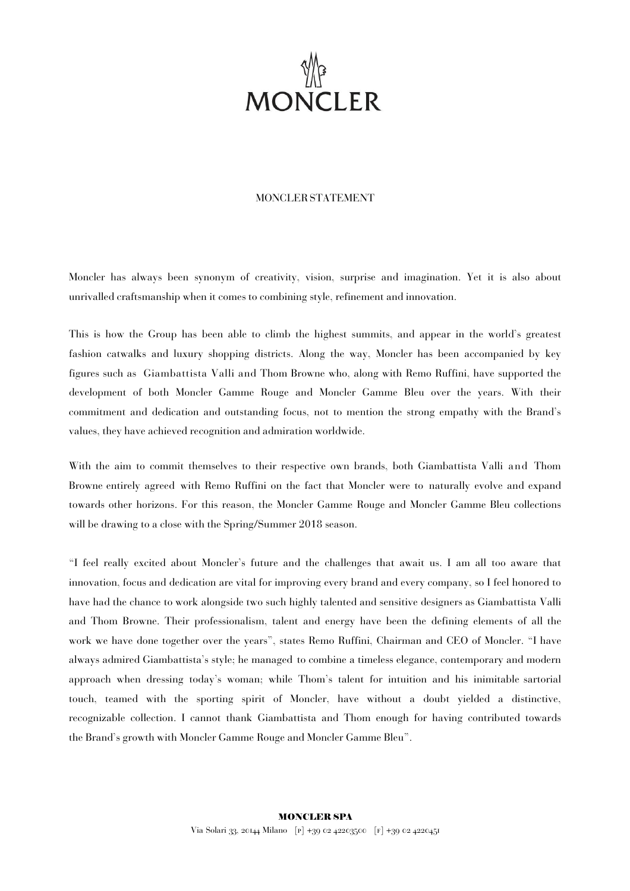

## MONCLERSTATEMENT

Moncler has always been synonym of creativity, vision, surprise and imagination. Yet it is also about unrivalled craftsmanship when it comes to combining style, refinement and innovation.

This is how the Group has been able to climb the highest summits, and appear in the world's greatest fashion catwalks and luxury shopping districts. Along the way, Moncler has been accompanied by key figures such as Giambattista Valli and Thom Browne who, along with Remo Ruffini, have supported the development of both Moncler Gamme Rouge and Moncler Gamme Bleu over the years. With their commitment and dedication and outstanding focus, not to mention the strong empathy with the Brand's values, they have achieved recognition and admiration worldwide.

With the aim to commit themselves to their respective own brands, both Giambattista Valli and Thom Browne entirely agreed with Remo Ruffini on the fact that Moncler were to naturally evolve and expand towards other horizons. For this reason, the Moncler Gamme Rouge and Moncler Gamme Bleu collections will be drawing to a close with the Spring/Summer 2018 season.

"I feel really excited about Moncler's future and the challenges that await us. I am all too aware that innovation, focus and dedication are vital for improving every brand and every company, so I feel honored to have had the chance to work alongside two such highly talented and sensitive designers as Giambattista Valli and Thom Browne. Their professionalism, talent and energy have been the defining elements of all the work we have done together over the years", states Remo Ruffini, Chairman and CEO of Moncler. "I have always admired Giambattista's style; he managed to combine a timeless elegance, contemporary and modern approach when dressing today's woman; while Thom's talent for intuition and his inimitable sartorial touch, teamed with the sporting spirit of Moncler, have without a doubt yielded a distinctive, recognizable collection. I cannot thank Giambattista and Thom enough for having contributed towards the Brand's growth with Moncler Gamme Rouge and Moncler Gamme Bleu".